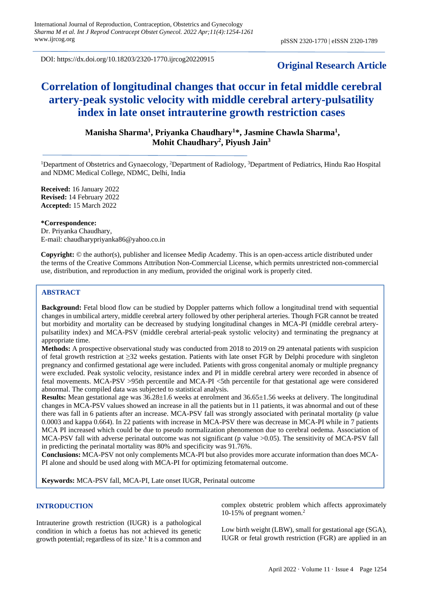DOI: https://dx.doi.org/10.18203/2320-1770.ijrcog20220915

# **Original Research Article**

# **Correlation of longitudinal changes that occur in fetal middle cerebral artery-peak systolic velocity with middle cerebral artery-pulsatility index in late onset intrauterine growth restriction cases**

## **Manisha Sharma<sup>1</sup> , Priyanka Chaudhary<sup>1</sup>\*, Jasmine Chawla Sharma<sup>1</sup> , Mohit Chaudhary<sup>2</sup> , Piyush Jain<sup>3</sup>**

<sup>1</sup>Department of Obstetrics and Gynaecology, <sup>2</sup>Department of Radiology, <sup>3</sup>Department of Pediatrics, Hindu Rao Hospital and NDMC Medical College, NDMC, Delhi, India

**Received:** 16 January 2022 **Revised:** 14 February 2022 **Accepted:** 15 March 2022

#### **\*Correspondence:**

Dr. Priyanka Chaudhary, E-mail: chaudharypriyanka86@yahoo.co.in

**Copyright:** © the author(s), publisher and licensee Medip Academy. This is an open-access article distributed under the terms of the Creative Commons Attribution Non-Commercial License, which permits unrestricted non-commercial use, distribution, and reproduction in any medium, provided the original work is properly cited.

### **ABSTRACT**

**Background:** Fetal blood flow can be studied by Doppler patterns which follow a longitudinal trend with sequential changes in umbilical artery, middle cerebral artery followed by other peripheral arteries. Though FGR cannot be treated but morbidity and mortality can be decreased by studying longitudinal changes in MCA-PI (middle cerebral arterypulsatility index) and MCA-PSV (middle cerebral arterial-peak systolic velocity) and terminating the pregnancy at appropriate time.

**Methods:** A prospective observational study was conducted from 2018 to 2019 on 29 antenatal patients with suspicion of fetal growth restriction at ≥32 weeks gestation. Patients with late onset FGR by Delphi procedure with singleton pregnancy and confirmed gestational age were included. Patients with gross congenital anomaly or multiple pregnancy were excluded. Peak systolic velocity, resistance index and PI in middle cerebral artery were recorded in absence of fetal movements. MCA-PSV >95th percentile and MCA-PI <5th percentile for that gestational age were considered abnormal. The compiled data was subjected to statistical analysis.

**Results:** Mean gestational age was 36.28±1.6 weeks at enrolment and 36.65±1.56 weeks at delivery. The longitudinal changes in MCA-PSV values showed an increase in all the patients but in 11 patients, it was abnormal and out of these there was fall in 6 patients after an increase. MCA-PSV fall was strongly associated with perinatal mortality (p value 0.0003 and kappa 0.664). In 22 patients with increase in MCA-PSV there was decrease in MCA-PI while in 7 patients MCA PI increased which could be due to pseudo normalization phenomenon due to cerebral oedema. Association of MCA-PSV fall with adverse perinatal outcome was not significant (p value >0.05). The sensitivity of MCA-PSV fall in predicting the perinatal mortality was 80% and specificity was 91.76%.

**Conclusions:** MCA-PSV not only complements MCA-PI but also provides more accurate information than does MCA-PI alone and should be used along with MCA-PI for optimizing fetomaternal outcome.

**Keywords:** MCA-PSV fall, MCA-PI, Late onset IUGR, Perinatal outcome

#### **INTRODUCTION**

Intrauterine growth restriction (IUGR) is a pathological condition in which a foetus has not achieved its genetic growth potential; regardless of its size.<sup>1</sup> It is a common and complex obstetric problem which affects approximately 10-15% of pregnant women.<sup>2</sup>

Low birth weight (LBW), small for gestational age (SGA), IUGR or fetal growth restriction (FGR) are applied in an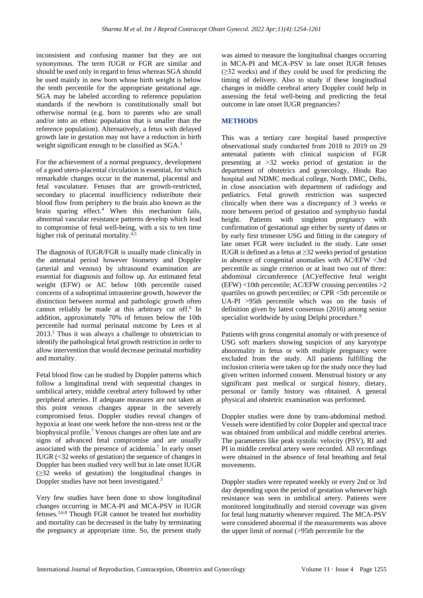inconsistent and confusing manner but they are not synonymous. The term IUGR or FGR are similar and should be used only in regard to fetus whereas SGA should be used mainly in new born whose birth weight is below the tenth percentile for the appropriate gestational age. SGA may be labeled according to reference population standards if the newborn is constitutionally small but otherwise normal (e.g. born to parents who are small and/or into an ethnic population that is smaller than the reference population). Alternatively, a fetus with delayed growth late in gestation may not have a reduction in birth weight significant enough to be classified as  $SGA<sup>3</sup>$ .

For the achievement of a normal pregnancy, development of a good utero-placental circulation is essential, for which remarkable changes occur in the maternal, placental and fetal vasculature. Fetuses that are growth-restricted, secondary to placental insufficiency redistribute their blood flow from periphery to the brain also known as the brain sparing effect. <sup>4</sup> When this mechanism fails, abnormal vascular resistance patterns develop which lead to compromise of fetal well-being, with a six to ten time higher risk of perinatal mortality.<sup>4,5</sup>

The diagnosis of IUGR/FGR is usually made clinically in the antenatal period however biometry and Doppler (arterial and venous) by ultrasound examination are essential for diagnosis and follow up. An estimated fetal weight (EFW) or AC below 10th percentile raised concerns of a suboptimal intrauterine growth, however the distinction between normal and pathologic growth often cannot reliably be made at this arbitrary cut off.<sup>6</sup> In addition, approximately 70% of fetuses below the 10th percentile had normal perinatal outcome by Lees et al  $2013<sup>5</sup>$ . Thus it was always a challenge to obstetrician to identify the pathological fetal growth restriction in order to allow intervention that would decrease perinatal morbidity and mortality.

Fetal blood flow can be studied by Doppler patterns which follow a longitudinal trend with sequential changes in umbilical artery, middle cerebral artery followed by other peripheral arteries. If adequate measures are not taken at this point venous changes appear in the severely compromised fetus. Doppler studies reveal changes of hypoxia at least one week before the non-stress test or the biophysical profile.<sup>7</sup> Venous changes are often late and are signs of advanced fetal compromise and are usually associated with the presence of acidemia.<sup>7</sup> In early onset IUGR (<32 weeks of gestation) the sequence of changes in Doppler has been studied very well but in late onset IUGR (≥32 weeks of gestation) the longitudinal changes in Doppler studies have not been investigated.<sup>3</sup>

Very few studies have been done to show longitudinal changes occurring in MCA-PI and MCA-PSV in IUGR fetuses.3,6,8 Though FGR cannot be treated but morbidity and mortality can be decreased in the baby by terminating the pregnancy at appropriate time. So, the present study was aimed to measure the longitudinal changes occurring in MCA-PI and MCA-PSV in late onset IUGR fetuses (≥32 weeks) and if they could be used for predicting the timing of delivery. Also to study if these longitudinal changes in middle cerebral artery Doppler could help in assessing the fetal well-being and predicting the fetal outcome in late onset IUGR pregnancies?

## **METHODS**

This was a tertiary care hospital based prospective observational study conducted from 2018 to 2019 on 29 antenatal patients with clinical suspicion of FGR presenting at >32 weeks period of gestation in the department of obstetrics and gynecology, Hindu Rao hospital and NDMC medical college, North DMC, Delhi, in close association with department of radiology and pediatrics. Fetal growth restriction was suspected clinically when there was a discrepancy of 3 weeks or more between period of gestation and symphysio fundal height. Patients with singleton pregnancy with confirmation of gestational age either by surety of dates or by early first trimester USG and fitting in the category of late onset FGR were included in the study. Late onset IUGR is defined as a fetus at  $\geq$ 32 weeks period of gestation in absence of congenital anomalies with AC/EFW <3rd percentile as single criterion or at least two out of three: abdominal circumference (AC)/effective fetal weight  $(EFW)$  <10th percentile; AC/EFW crossing percentiles >2 quartiles on growth percentiles; or CPR <5th percentile or UA-PI >95th percentile which was on the basis of definition given by latest consensus (2016) among senior specialist worldwide by using Delphi procedure.<sup>9</sup>

Patients with gross congenital anomaly or with presence of USG soft markers showing suspicion of any karyotype abnormality in fetus or with multiple pregnancy were excluded from the study. All patients fulfilling the inclusion criteria were taken up for the study once they had given written informed consent. Menstrual history or any significant past medical or surgical history, dietary, personal or family history was obtained. A general physical and obstetric examination was performed.

Doppler studies were done by trans-abdominal method. Vessels were identified by color Doppler and spectral trace was obtained from umbilical and middle cerebral arteries. The parameters like peak systolic velocity (PSV), RI and PI in middle cerebral artery were recorded. All recordings were obtained in the absence of fetal breathing and fetal movements.

Doppler studies were repeated weekly or every 2nd or 3rd day depending upon the period of gestation whenever high resistance was seen in umbilical artery. Patients were monitored longitudinally and steroid coverage was given for fetal lung maturity whenever required. The MCA-PSV were considered abnormal if the measurements was above the upper limit of normal (>95th percentile for the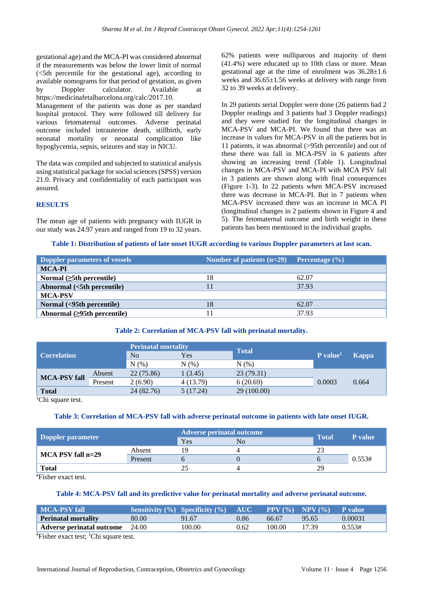gestational age) and the MCA-PI was considered abnormal if the measurements was below the lower limit of normal (<5th percentile for the gestational age), according to available nomograms for that period of gestation, as given by Doppler calculator. Available at https://medicinafetalbarcelona.org/calc/2017.10. Management of the patients was done as per standard hospital protocol. They were followed till delivery for various fetomaternal outcomes. Adverse perinatal outcome included intrauterine death, stillbirth, early neonatal mortality or neonatal complication like hypoglycemia, sepsis, seizures and stay in NICU.

The data was compiled and subjected to statistical analysis using statistical package for social sciences (SPSS) version 21.0. Privacy and confidentiality of each participant was assured.

**RESULTS**

The mean age of patients with pregnancy with IUGR in our study was 24.97 years and ranged from 19 to 32 years. 62% patients were nulliparous and majority of them (41.4%) were educated up to 10th class or more. Mean gestational age at the time of enrolment was 36.28±1.6 weeks and 36.65±1.56 weeks at delivery with range from 32 to 39 weeks at delivery.

In 29 patients serial Doppler were done (26 patients had 2 Doppler readings and 3 patients had 3 Doppler readings) and they were studied for the longitudinal changes in MCA-PSV and MCA-PI. We found that there was an increase in values for MCA-PSV in all the patients but in 11 patients, it was abnormal (>95th percentile) and out of these there was fall in MCA-PSV in 6 patients after showing an increasing trend (Table 1). Longitudinal changes in MCA-PSV and MCA-PI with MCA PSV fall in 3 patients are shown along with final consequences (Figure 1-3). In 22 patients when MCA-PSV increased there was decrease in MCA-PI. But in 7 patients when MCA-PSV increased there was an increase in MCA PI (longitudinal changes in 2 patients shown in Figure 4 and 5). The fetomaternal outcome and birth weight in these patients has been mentioned in the individual graphs.

#### **Table 1: Distribution of patients of late onset IUGR according to various Doppler parameters at last scan.**

| Doppler parameters of vessels       | Number of patients $(n=29)$ Percentage $(\% )$ |       |
|-------------------------------------|------------------------------------------------|-------|
| <b>MCA-PI</b>                       |                                                |       |
| Normal $(\geq 5$ th percentile)     | 18                                             | 62.07 |
| Abnormal (<5th percentile)          |                                                | 37.93 |
| <b>MCA-PSV</b>                      |                                                |       |
| Normal (<95th percentile)           | 18                                             | 62.07 |
| Abnormal $( \geq 95$ th percentile) |                                                | 37.93 |

#### **Table 2: Correlation of MCA-PSV fall with perinatal mortality.**

| <b>Correlation</b>  |         | <b>Perinatal mortality</b> |           |              |                      |              |
|---------------------|---------|----------------------------|-----------|--------------|----------------------|--------------|
|                     |         | N <sub>o</sub>             | Yes       | <b>Total</b> | P value <sup>1</sup> | <b>Kappa</b> |
|                     |         | N(%                        | N(%)      | N(% )        |                      |              |
| <b>MCA-PSV fall</b> | Absent  | 22 (75.86)                 | 1(3.45)   | 23(79.31)    | 0.0003               | 0.664        |
|                     | Present | 2(6.90)                    | 4 (13.79) | 6(20.69)     |                      |              |
| <b>Total</b>        |         | 24 (82.76)                 | 5(17.24)  | 29 (100.00)  |                      |              |

<sup>1</sup>Chi square test.

### **Table 3: Correlation of MCA-PSV fall with adverse perinatal outcome in patients with late onset IUGR.**

| Doppler parameter     |         | <b>Adverse perinatal outcome</b> | <b>Total</b>   |    |                |
|-----------------------|---------|----------------------------------|----------------|----|----------------|
|                       |         | Yes                              | N <sub>0</sub> |    | <b>P</b> value |
|                       | Absent  | ۱۵                               |                |    | 0.553#         |
| $MCA$ PSV fall $n=29$ | Present |                                  |                |    |                |
| <b>Total</b>          |         |                                  |                | οq |                |

#Fisher exact test.

#### **Table 4: MCA-PSV fall and its predictive value for perinatal mortality and adverse perinatal outcome.**

| MCA-PSV fall                           |       | <b>Sensitivity</b> $(\%)$ Specificity $(\%)$ | $\mathbf{AUC}$ |        | <b>PPV</b> $(\% )$ <b>NPV</b> $(\% )$ | - P value |
|----------------------------------------|-------|----------------------------------------------|----------------|--------|---------------------------------------|-----------|
| <b>Perinatal mortality</b>             | 80.00 | 91.67                                        | 0.86           | 66.67  | 95.65                                 | 0.00031   |
| <b>Adverse perinatal outcome</b> 24.00 |       | 100.00                                       | 0.62           | 100.00 | 17.39                                 | 0.553#    |

#Fisher exact test; 1Chi square test.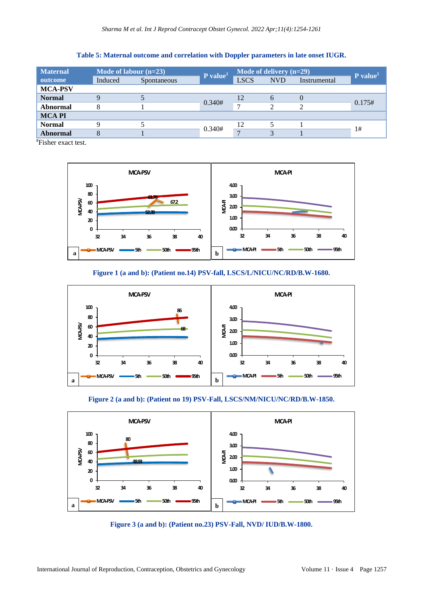| <b>Maternal</b> | Mode of labour $(n=23)$ |             | $P$ value <sup>1</sup> | Mode of delivery (n=29) |            |              | $P$ value <sup>1</sup> |
|-----------------|-------------------------|-------------|------------------------|-------------------------|------------|--------------|------------------------|
| outcome         | Induced                 | Spontaneous |                        | <b>LSCS</b>             | <b>NVD</b> | Instrumental |                        |
| <b>MCA-PSV</b>  |                         |             |                        |                         |            |              |                        |
| <b>Normal</b>   |                         |             | 0.340#                 | 12                      | 6          |              | 0.175#                 |
| <b>Abnormal</b> |                         |             |                        | $\mathbf{r}$            | C          |              |                        |
| <b>MCAPI</b>    |                         |             |                        |                         |            |              |                        |
| <b>Normal</b>   |                         |             | 0.340#                 | 12                      |            |              | 1#                     |
| <b>Abnormal</b> |                         |             |                        | $\mathbf{r}$            |            |              |                        |

**Table 5: Maternal outcome and correlation with Doppler parameters in late onset IUGR.**

#Fisher exact test.



**Figure 1 (a and b): (Patient no.14) PSV-fall, LSCS/L/NICU/NC/RD/B.W-1680.**



**Figure 2 (a and b): (Patient no 19) PSV-Fall, LSCS/NM/NICU/NC/RD/B.W-1850.**



**Figure 3 (a and b): (Patient no.23) PSV-Fall, NVD/ IUD/B.W-1800.**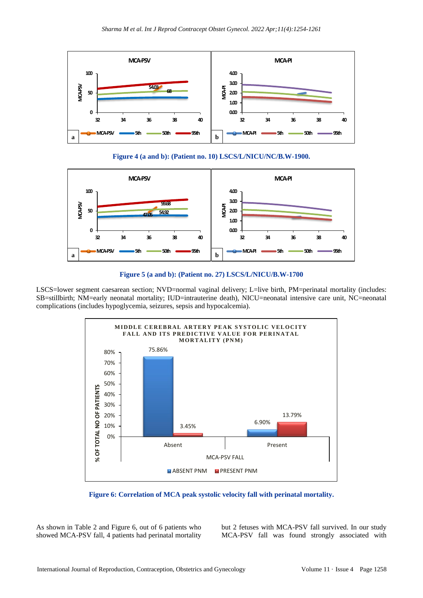

**Figure 4 (a and b): (Patient no. 10) LSCS/L/NICU/NC/B.W-1900.**



**Figure 5 (a and b): (Patient no. 27) LSCS/L/NICU/B.W-1700**

LSCS=lower segment caesarean section; NVD=normal vaginal delivery; L=live birth, PM=perinatal mortality (includes: SB=stillbirth; NM=early neonatal mortality; IUD=intrauterine death), NICU=neonatal intensive care unit, NC=neonatal complications (includes hypoglycemia, seizures, sepsis and hypocalcemia).



**Figure 6: Correlation of MCA peak systolic velocity fall with perinatal mortality.**

As shown in Table 2 and Figure 6, out of 6 patients who showed MCA-PSV fall, 4 patients had perinatal mortality but 2 fetuses with MCA-PSV fall survived. In our study MCA-PSV fall was found strongly associated with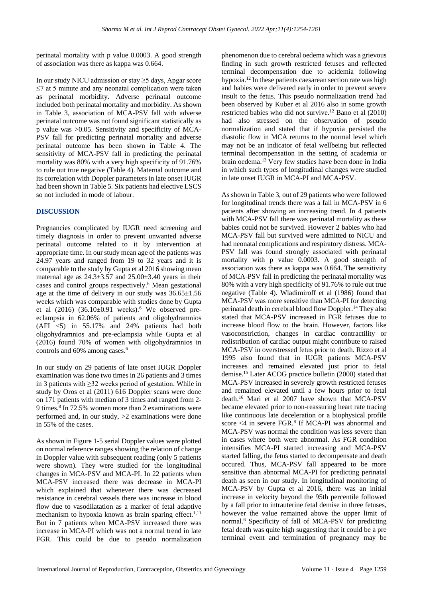perinatal mortality with p value 0.0003. A good strength of association was there as kappa was 0.664.

In our study NICU admission or stay ≥5 days, Apgar score ≤7 at 5 minute and any neonatal complication were taken as perinatal morbidity. Adverse perinatal outcome included both perinatal mortality and morbidity. As shown in Table 3, association of MCA-PSV fall with adverse perinatal outcome was not found significant statistically as p value was >0.05. Sensitivity and specificity of MCA-PSV fall for predicting perinatal mortality and adverse perinatal outcome has been shown in Table 4. The sensitivity of MCA-PSV fall in predicting the perinatal mortality was 80% with a very high specificity of 91.76% to rule out true negative (Table 4). Maternal outcome and its correlation with Doppler parameters in late onset IUGR had been shown in Table 5. Six patients had elective LSCS so not included in mode of labour.

#### **DISCUSSION**

Pregnancies complicated by IUGR need screening and timely diagnosis in order to prevent unwanted adverse perinatal outcome related to it by intervention at appropriate time. In our study mean age of the patients was 24.97 years and ranged from 19 to 32 years and it is comparable to the study by Gupta et al 2016 showing mean maternal age as  $24.3 \pm 3.57$  and  $25.00 \pm 3.40$  years in their cases and control groups respectively.<sup>6</sup> Mean gestational age at the time of delivery in our study was  $36.65 \pm 1.56$ weeks which was comparable with studies done by Gupta et al  $(2016)$   $(36.10\pm0.91$  weeks).<sup>6</sup> We observed preeclampsia in 62.06% of patients and oligohydramnios  $(AFI \le 5)$  in 55.17% and 24% patients had both oligohydramnios and pre-eclampsia while Gupta et al (2016) found 70% of women with oligohydramnios in controls and 60% among cases.<sup>6</sup>

In our study on 29 patients of late onset IUGR Doppler examination was done two times in 26 patients and 3 times in 3 patients with ≥32 weeks period of gestation. While in study by Oros et al (2011) 616 Doppler scans were done on 171 patients with median of 3 times and ranged from 2- 9 times.<sup>8</sup> In 72.5% women more than 2 examinations were performed and, in our study,  $>2$  examinations were done in 55% of the cases.

As shown in Figure 1-5 serial Doppler values were plotted on normal reference ranges showing the relation of change in Doppler value with subsequent reading (only 5 patients were shown). They were studied for the longitudinal changes in MCA-PSV and MCA-PI. In 22 patients when MCA-PSV increased there was decrease in MCA-PI which explained that whenever there was decreased resistance in cerebral vessels there was increase in blood flow due to vasodilatation as a marker of fetal adaptive mechanism to hypoxia known as brain sparing effect.<sup>1,11</sup> But in 7 patients when MCA-PSV increased there was increase in MCA-PI which was not a normal trend in late FGR. This could be due to pseudo normalization phenomenon due to cerebral oedema which was a grievous finding in such growth restricted fetuses and reflected terminal decompensation due to acidemia following hypoxia.<sup>12</sup> In these patients caesarean section rate was high and babies were delivered early in order to prevent severe insult to the fetus. This pseudo normalization trend had been observed by Kuber et al 2016 also in some growth restricted babies who did not survive.<sup>12</sup> Bano et al (2010) had also stressed on the observation of pseudo normalization and stated that if hypoxia persisted the diastolic flow in MCA returns to the normal level which may not be an indicator of fetal wellbeing but reflected terminal decompensation in the setting of academia or brain oedema.<sup>13</sup> Very few studies have been done in India in which such types of longitudinal changes were studied in late onset IUGR in MCA-PI and MCA-PSV.

As shown in Table 3, out of 29 patients who were followed for longitudinal trends there was a fall in MCA-PSV in 6 patients after showing an increasing trend. In 4 patients with MCA-PSV fall there was perinatal mortality as these babies could not be survived. However 2 babies who had MCA-PSV fall but survived were admitted to NICU and had neonatal complications and respiratory distress. MCA-PSV fall was found strongly associated with perinatal mortality with p value 0.0003. A good strength of association was there as kappa was 0.664. The sensitivity of MCA-PSV fall in predicting the perinatal mortality was 80% with a very high specificity of 91.76% to rule out true negative (Table 4). Wladimiroff et al (1986) found that MCA-PSV was more sensitive than MCA-PI for detecting perinatal death in cerebral blood flow Doppler.<sup>14</sup> They also stated that MCA-PSV increased in FGR fetuses due to increase blood flow to the brain. However, factors like vasoconstriction, changes in cardiac contractility or redistribution of cardiac output might contribute to raised MCA-PSV in overstressed fetus prior to death. Rizzo et al 1995 also found that in IUGR patients MCA-PSV increases and remained elevated just prior to fetal demise.<sup>15</sup> Later ACOG practice bulletin (2000) stated that MCA-PSV increased in severely growth restricted fetuses and remained elevated until a few hours prior to fetal death.<sup>16</sup> Mari et al 2007 have shown that MCA-PSV became elevated prior to non-reassuring heart rate tracing like continuous late deceleration or a biophysical profile score <4 in severe FGR.<sup>8</sup> If MCA-PI was abnormal and MCA-PSV was normal the condition was less severe than in cases where both were abnormal. As FGR condition intensifies MCA-PI started increasing and MCA-PSV started falling, the fetus started to decompensate and death occured. Thus, MCA-PSV fall appeared to be more sensitive than abnormal MCA-PI for predicting perinatal death as seen in our study. In longitudinal monitoring of MCA-PSV by Gupta et al 2016, there was an initial increase in velocity beyond the 95th percentile followed by a fall prior to intrauterine fetal demise in three fetuses, however the value remained above the upper limit of normal.<sup>6</sup> Specificity of fall of MCA-PSV for predicting fetal death was quite high suggesting that it could be a pre terminal event and termination of pregnancy may be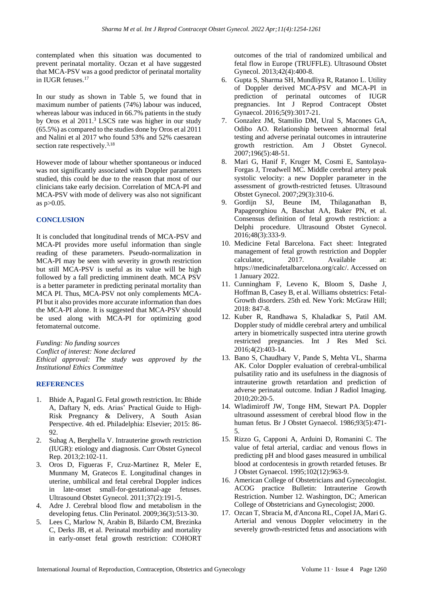contemplated when this situation was documented to prevent perinatal mortality. Oczan et al have suggested that MCA-PSV was a good predictor of perinatal mortality in IUGR fetuses.<sup>17</sup>

In our study as shown in Table 5, we found that in maximum number of patients (74%) labour was induced, whereas labour was induced in 66.7% patients in the study by Oros et al 2011. <sup>3</sup> LSCS rate was higher in our study (65.5%) as compared to the studies done by Oros et al 2011 and Nalini et al 2017 who found 53% and 52% caesarean section rate respectively.<sup>3,18</sup>

However mode of labour whether spontaneous or induced was not significantly associated with Doppler parameters studied, this could be due to the reason that most of our clinicians take early decision. Correlation of MCA-PI and MCA-PSV with mode of delivery was also not significant as p>0.05.

## **CONCLUSION**

It is concluded that longitudinal trends of MCA-PSV and MCA-PI provides more useful information than single reading of these parameters. Pseudo-normalization in MCA-PI may be seen with severity in growth restriction but still MCA-PSV is useful as its value will be high followed by a fall predicting imminent death. MCA PSV is a better parameter in predicting perinatal mortality than MCA PI. Thus, MCA-PSV not only complements MCA-PI but it also provides more accurate information than does the MCA-PI alone. It is suggested that MCA-PSV should be used along with MCA-PI for optimizing good fetomaternal outcome.

*Funding: No funding sources*

*Conflict of interest: None declared*

*Ethical approval: The study was approved by the Institutional Ethics Committee*

#### **REFERENCES**

- 1. Bhide A, Paganl G. Fetal growth restriction. In: Bhide A, Daftary N, eds. Arias' Practical Guide to High-Risk Pregnancy & Delivery, A South Asian Perspective. 4th ed. Philadelphia: Elsevier; 2015: 86- 92.
- 2. Suhag A, Berghella V. Intrauterine growth restriction (IUGR): etiology and diagnosis. Curr Obstet Gynecol Rep. 2013;2:102-11.
- 3. Oros D, Figueras F, Cruz-Martinez R, Meler E, Munmany M, Gratecos E. Longitudinal changes in uterine, umbilical and fetal cerebral Doppler indices in late-onset small-for-gestational-age fetuses. Ultrasound Obstet Gynecol. 2011;37(2):191-5.
- 4. Adre J. Cerebral blood flow and metabolism in the developing fetus. Clin Perinatol. 2009;36(3):513-30.
- 5. Lees C, Marlow N, Arabin B, Bilardo CM, Brezinka C, Derks JB, et al. Perinatal morbidity and mortality in early-onset fetal growth restriction: COHORT

outcomes of the trial of randomized umbilical and fetal flow in Europe (TRUFFLE). Ultrasound Obstet Gynecol. 2013;42(4):400-8.

- 6. Gupta S, Sharma SH, Mundliya R, Ratanoo L. Utility of Doppler derived MCA-PSV and MCA-PI in prediction of perinatal outcomes of IUGR pregnancies. Int J Reprod Contracept Obstet Gynaecol. 2016;5(9):3017-21.
- 7. Gonzalez JM, Stamilio DM, Ural S, Macones GA, Odibo AO. Relationship between abnormal fetal testing and adverse perinatal outcomes in intrauterine growth restriction. Am J Obstet Gynecol. 2007;196(5):48-51.
- 8. Mari G, Hanif F, Kruger M, Cosmi E, Santolaya-Forgas J, Treadwell MC. Middle cerebral artery peak systolic velocity: a new Doppler parameter in the assessment of growth-restricted fetuses. Ultrasound Obstet Gynecol. 2007;29(3):310-6.
- 9. Gordijn SJ, Beune IM, Thilaganathan B, Papageorghiou A, Baschat AA, Baker PN, et al. Consensus definition of fetal growth restriction: a Delphi procedure. Ultrasound Obstet Gynecol. 2016;48(3):333-9.
- 10. Medicine Fetal Barcelona. Fact sheet: Integrated management of fetal growth restriction and Doppler calculator, 2017. Available at: https://medicinafetalbarcelona.org/calc/. Accessed on 1 January 2022.
- 11. Cunningham F, Leveno K, Bloom S, Dashe J, Hoffman B, Casey B, et al. Williams obstetrics: Fetal-Growth disorders. 25th ed. New York: McGraw Hill; 2018: 847-8.
- 12. Kuber R, Randhawa S, Khaladkar S, Patil AM. Doppler study of middle cerebral artery and umbilical artery in biometrically suspected intra uterine growth restricted pregnancies. Int J Res Med Sci. 2016;4(2):403-14.
- 13. Bano S, Chaudhary V, Pande S, Mehta VL, Sharma AK. Color Doppler evaluation of cerebral-umbilical pulsatility ratio and its usefulness in the diagnosis of intrauterine growth retardation and prediction of adverse perinatal outcome. Indian J Radiol Imaging. 2010;20:20-5.
- 14. Wladimiroff JW, Tonge HM, Stewart PA. Doppler ultrasound assessment of cerebral blood flow in the human fetus. Br J Obstet Gynaecol. 1986;93(5):471- 5.
- 15. Rizzo G, Capponi A, Arduini D, Romanini C. The value of fetal arterial, cardiac and venous flows in predicting pH and blood gases measured in umbilical blood at cordocentesis in growth retarded fetuses. Br J Obstet Gynaecol. 1995;102(12):963-9.
- 16. American College of Obstetricians and Gynecologist. ACOG practice Bulletin: Intrauterine Growth Restriction. Number 12. Washington, DC; American College of Obstetricians and Gynecologist; 2000.
- 17. Ozcan T, Sbracia M, d'Ancona RL, Copel JA, Mari G. Arterial and venous Doppler velocimetry in the severely growth-restricted fetus and associations with